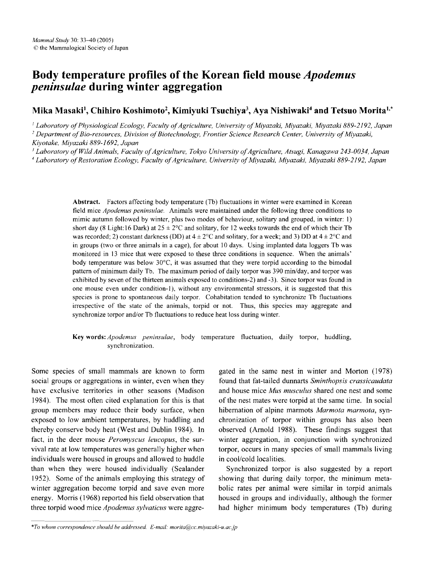# Body temperature profiles of the Korean field mouse *Apodemus peninsulae* during winter aggregation

## Mika Masaki<sup>1</sup>, Chihiro Koshimoto<sup>2</sup>, Kimiyuki Tsuchiya<sup>3</sup>, Aya Nishiwaki<sup>4</sup> and Tetsuo Morita<sup>1,\*</sup>

<sup>1</sup> *Laboratory ofPhysiological Ecology, Faculty ofAgriculture, University ofMiyazaki, Miyazaki, Miyazaki* 889-2192, *Japan* <sup>2</sup> *Department ofBio-resources, Division ofBiotechnology, Frontier Science Research Center, University ofMiyazaki, Kiyotake, Miyazaki* 889-1692, *Japan*

*<sup>3</sup> Laboratory ofWild Animals. Faculty ofAgriculture, Tokyo University ofAgriculture. Atsugi, Kanagawa 243-0034, Japan*

<sup>4</sup> *Laboratory ofRestoration Ecology, Faculty ofAgriculture, University ofMiyazaki, Miyazaki, Miyazaki* 889-2192, *Japan*

Abstract. Factors affecting body temperature (Tb) fluctuations in winter were examined in Korean field mice *Apodemus peninsulae.* Animals were maintained under the following three conditions to mimic autumn followed by winter, plus two modes of behaviour, solitary and grouped, in winter: 1) short day (8 Light: 16 Dark) at  $25 \pm 2^{\circ}$ C and solitary, for 12 weeks towards the end of which their Tb was recorded; 2) constant darkness (DD) at  $4 \pm 2^{\circ}$ C and solitary, for a week; and 3) DD at  $4 \pm 2^{\circ}$ C and in groups (two or three animals in a cage), for about 10 days. Using implanted data loggers Tb was monitored in 13 mice that were exposed to these three conditions in sequence. When the animals' body temperature was below 30°C, it was assumed that they were torpid according to the bimodal pattern of minimum daily Tb. The maximum period of daily torpor was 390 min/day, and torpor was exhibited by seven of the thirteen animals exposed to conditions-2) and -3). Since torpor was found in one mouse even under condition-I), without any environmental stressors, it is suggested that this species is prone to spontaneous daily torpor. Cohabitation tended to synchronize Tb fluctuations irrespective of the state of the animals, torpid or not. Thus, this species may aggregate and synchronize torpor and/or Tb fluctuations to reduce heat loss during winter.

## Key words: *Apodemus peninsulae*, body temperature fluctuation, daily torpor, huddling, synchronization.

Some species of small mammals are known to form social groups or aggregations in winter, even when they have exclusive territories in other seasons (Madison 1984). The most often cited explanation for this is that group members may reduce their body surface, when exposed to low ambient temperatures, by huddling and thereby conserve body heat (West and Dublin 1984). In fact, in the deer mouse *Peromyscus leucopus,* the survival rate at low temperatures was generally higher when individuals were housed in groups and allowed to huddle than when they were housed individually (Sealander 1952). Some of the animals employing this strategy of winter aggregation become torpid and save even more energy. Morris (1968) reported his field observation that three torpid wood mice *Apodemus sylvaticus* were aggre-

gated in the same nest in winter and Morton (1978) found that fat-tailed dunnarts *Sminthopsis crassicaudata* and house mice *Mus musculus* shared one nest and some of the nest mates were torpid at the same time. In social hibernation of alpine marmots *Marmota marmota,* synchronization of torpor within groups has also been observed (Arnold 1988). These findings suggest that winter aggregation, in conjunction with synchronized torpor, occurs in many species of small mammals living in cool/cold localities.

Synchronized torpor is also suggested by a report showing that during daily torpor, the minimum metabolic rates per animal were similar in torpid animals housed in groups and individually, although the former had higher minimum body temperatures (Tb) during

*<sup>\*</sup>To whom correspondence should be addressed. E-mail: morita@cc.miyazaki-u.acjp*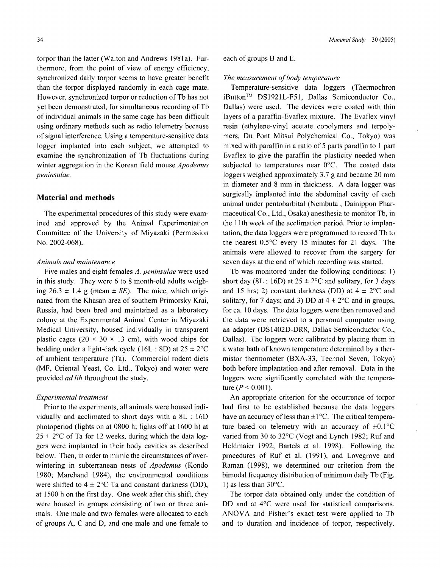torpor than the latter (Walton and Andrews 1981a). Furthermore, from the point of view of energy efficiency, synchronized daily torpor seems to have greater benefit than the torpor displayed randomly in each cage mate. However, synchronized torpor or reduction of Tb has not yet been demonstrated, for simultaneous recording of Tb of individual animals in the same cage has been difficult using ordinary methods such as radio telemetry because of signal interference. Using a temperature-sensitive data logger implanted into each subject, we attempted to examine the synchronization of Tb fluctuations during winter aggregation in the Korean field mouse *Apodemus peninsulae.*

#### **Material and methods**

The experimental procedures of this study were examined and approved by the Animal Experimentation Committee of the University of Miyazaki (Permission No. 2002-068).

## *Animals and maintenance*

Five males and eight females *A. peninsulae* were used in this study. They were 6 to 8 month-old adults weighing  $26.3 \pm 1.4$  g (mean  $\pm$  *SE*). The mice, which originated from the Khasan area of southern Primorsky Krai, Russia, had been bred and maintained as a laboratory colony at the Experimental Animal Center in Miyazaki Medical University, housed individually in transparent plastic cages (20  $\times$  30  $\times$  13 cm), with wood chips for bedding under a light-dark cycle (16L : 8D) at  $25 \pm 2$ °C of ambient temperature (Ta). Commercial rodent diets (MF, Oriental Yeast, Co. Ltd., Tokyo) and water were provided *ad lib* throughout the study.

#### *Experimental treatment*

Prior to the experiments, all animals were housed individually and acclimated to short days with a 8L : 16D photoperiod (lights on at 0800 h; lights off at 1600 h) at  $25 \pm 2$ °C of Ta for 12 weeks, during which the data loggers were implanted in their body cavities as described below. Then, in order to mimic the circumstances of overwintering in subterranean nests of *Apodemus* (Kondo 1980; Marchand 1984), the environmental conditions were shifted to  $4 \pm 2$ °C Ta and constant darkness (DD), at 1500 h on the first day. One week after this shift, they were housed in groups consisting of two or three animals. One male and two females were allocated to each of groups A, C and D, and one male and one female to each of groups Band E.

#### *The measurement of body temperature*

Temperature-sensitive data loggers (Thermochron iButton<sup>™</sup> DS1921L-F51, Dallas Semiconductor Co., Dallas) were used. The devices were coated with thin layers of a paraffin-Evaflex mixture. The Evaflex vinyl resin (ethylene-vinyl acetate copolymers and terpolymers, Du Pont Mitsui Polychemical Co., Tokyo) was mixed with paraffin in a ratio of 5 parts paraffin to 1 part Evaflex to give the paraffin the plasticity needed when subjected to temperatures near 0°C. The coated data loggers weighed approximately 3.7 g and became 20 mm in diameter and 8 mm in thickness. A data logger was surgically implanted into the abdominal cavity of each animal under pentobarbital (Nembutal, Dainippon Pharmaceutical Co., Ltd., Osaka) anesthesia to monitor Tb, in the 11<sup>th</sup> week of the acclimation period. Prior to implantation, the data loggers were programmed to record Tb to the nearest 0.5°C every 15 minutes for 21 days. The animals were allowed to recover from the surgery for seven days at the end of which recording was started.

Tb was monitored under the following conditions: 1) short day (8L : 16D) at  $25 \pm 2$ °C and solitary, for 3 days and 15 hrs; 2) constant darkness (DD) at  $4 \pm 2$ °C and solitary, for 7 days; and 3) DD at  $4 \pm 2$ °C and in groups, for ca. 10 days. The data loggers were then removed and the data were retrieved to a personal computer using an adapter (DSI402D-DR8, Dallas Semiconductor Co., Dallas). The loggers were calibrated by placing them in a water bath of known temperature determined by a thermistor thermometer (BXA-33, Technol Seven, Tokyo) both before implantation and after removal. Data in the loggers were significantly correlated with the temperature ( $P < 0.001$ ).

An appropriate criterion for the occurrence of torpor had first to be established because the data loggers have an accuracy of less than  $\pm 1^{\circ}$ C. The critical temperature based on telemetry with an accuracy of  $\pm 0.1$ °C varied from 30 to 32°C (Vogt and Lynch 1982; Ruf and Heldmaier 1992; Bartels et al. 1998). Following the procedures of Ruf et al. (1991), and Lovegrove and Raman (1998), we determined our criterion from the bimodal frequency distribution of minimum daily Tb (Fig. 1) as less than  $30^{\circ}$ C.

The torpor data obtained only under the condition of DD and at 4°C were used for statistical comparisons. ANOVA and Fisher's exact test were applied to Tb and to duration and incidence of torpor, respectively.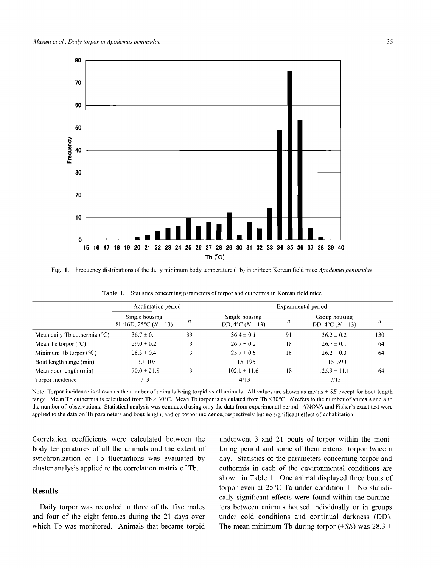

Fig. 1. Frequency distributions ofthe daily minimum body temperature (Tb) in thirteen Korean field mice *Apodemus peninsulae.*

|                                              | Acclimation period                                    |    |                                                  | Experimental period |                                            |     |  |
|----------------------------------------------|-------------------------------------------------------|----|--------------------------------------------------|---------------------|--------------------------------------------|-----|--|
|                                              | Single housing<br>8L:16D, 25 $\textdegree$ C (N = 13) | n  | Single housing<br>DD, $4^{\circ}$ C ( $N = 13$ ) | n                   | Group housing<br>DD, $4^{\circ}C (N = 13)$ | n   |  |
| Mean daily Tb euthermia ( $\rm{^{\circ}C}$ ) | $36.7 \pm 0.1$                                        | 39 | $36.4 \pm 0.1$                                   | -91                 | $36.2 \pm 0.2$                             | 130 |  |
| Mean Tb torpor $(^{\circ}C)$                 | $29.0 \pm 0.2$                                        | 3  | $26.7 \pm 0.2$                                   | 18                  | $26.7 \pm 0.1$                             | 64  |  |
| Minimum Tb torpor $(^{\circ}C)$              | $28.3 \pm 0.4$                                        |    | $25.7 \pm 0.6$                                   | 18                  | $26.2 \pm 0.3$                             | 64  |  |
| Bout length range (min)                      | $30 - 105$                                            |    | $15 - 195$                                       |                     | $15 - 390$                                 |     |  |
| Mean bout length (min)                       | $70.0 \pm 21.8$                                       |    | $102.1 \pm 11.6$                                 | 18                  | $125.9 \pm 11.1$                           | 64  |  |
| Torpor incidence                             | 1/13                                                  |    | 4/13                                             |                     | 7/13                                       |     |  |

Table 1. Statistics concerning parameters of torpor and euthermia in Korean field mice.

Note: Torpor incidence is shown as the number of animals being torpid vs all animals. All values are shown as means  $\pm SE$  except for bout length range. Mean Tb euthermia is calculated from Tb > 30°C. Mean Tb torpor is calculated from Tb  $\leq 30^{\circ}$ C. N refers to the number of animals and *n* to the number of observations. Statistical analysis was conducted using only the data from experimenatl period. ANOYA and Fisher's exact test were applied to the data on Tb parameters and bout length. and on torpor incidence, respectively but no significant effect of cohabitation.

Correlation coefficients were calculated between the body temperatures of all the animals and the extent of synchronization of Tb fluctuations was evaluated by cluster analysis applied to the correlation matrix of Tb.

## Results

Daily torpor was recorded in three of the five males and four of the eight females during the 21 days over which Tb was monitored. Animals that became torpid underwent 3 and 21 bouts of torpor within the monitoring period and some of them entered torpor twice a day. Statistics of the parameters concerning torpor and euthermia in each of the environmental conditions are shown in Table 1. One animal displayed three bouts of torpor even at 25°C Ta under condition 1. No statistically significant effects were found within the parameters between animals housed individually or in groups under cold conditions and continual darkness (DO). The mean minimum Tb during torpor  $(\pm SE)$  was 28.3  $\pm$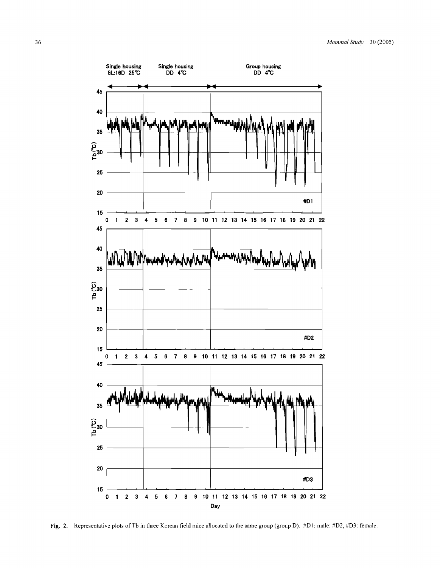

Fig. 2. Representative plots of Tb in three Korean field mice allocated to the same group (group D). #D1: male; #D2, #D3: female.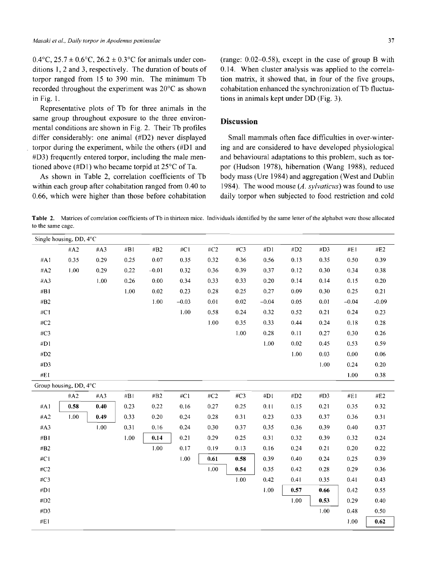$0.4$ °C,  $25.7 \pm 0.6$ °C,  $26.2 \pm 0.3$ °C for animals under conditions 1,2 and 3, respectively. The duration of bouts of torpor ranged from 15 to 390 min. The minimum Tb recorded throughout the experiment was  $20^{\circ}$ C as shown in Fig. 1.

Representative plots of Tb for three animals in the same group throughout exposure to the three environmental conditions are shown in Fig. 2. Their Tb profiles differ considerably: one animal (#D2) never displayed torpor during the experiment, while the others (#D1 and #D3) frequently entered torpor, including the male mentioned above  $(HDI)$  who became torpid at 25 $\degree$ C of Ta.

As shown in Table 2, correlation coefficients of Tb within each group after cohabitation ranged from 0.40 to 0.66, which were higher than those before cohabitation (range: 0.02-0.58), except in the case of group B with 0.14. When cluster analysis was applied to the correlation matrix, it showed that, in four of the five groups, cohabitation enhanced the synchronization of Tb fluctuations in animals kept under DD (Fig. 3).

#### **Discussion**

Small mammals often face difficulties in over-wintering and are considered to have developed physiological and behavioural adaptations to this problem, such as torpor (Hudson 1978), hibernation (Wang 1988), reduced body mass (Ure 1984) and aggregation (West and Dublin 1984). The wood mouse *(A. sylvaticus)* was found to use daily torpor when subjected to food restriction and cold

**Table 2.** Matrices of correlation coefficients of Tb in thirteen mice. Individuals identified by the same letter of the alphabet were those allocated to the same cage.

| # $C2$<br># $C3$<br>#B1<br>#C1<br>#D1<br>#D2<br>#D3<br>#E1<br>#A2<br>#A3<br>#B2<br>#A1<br>0.35<br>0.07<br>0.32<br>0.36<br>0.13<br>0.35<br>0.29<br>0.25<br>0.35<br>0.56<br>0.50<br>#A2<br>1.00<br>0.39<br>0.30<br>0.29<br>0.22<br>$-0.01$<br>0.32<br>0.36<br>0.37<br>0.12<br>0.34<br>1.00<br>0.00<br>0.14<br>#A3<br>0.26<br>0.34<br>0.33<br>0.33<br>0.20<br>0.14<br>0.15<br>1.00<br>0.02<br>0.23<br>0.28<br>0.25<br>0.27<br>0.09<br>0.30<br>0.25<br>#B1<br>$1.00\,$<br>$0.02\,$<br>$-0.04$<br>#B2<br>$-0.03$<br>0.01<br>0.05<br>0.01<br>$-0.04$<br>1.00<br>#C1<br>0.58<br>0.24<br>0.32<br>0.52<br>0.21<br>0.24<br>1.00<br># $C2$<br>0.35<br>0.33<br>0.44<br>0.24<br>0.18<br>1.00<br>#C3<br>$0.28\,$<br>0.11<br>0.27<br>0.30<br>$1.00\,$<br>#D1<br>0.02<br>0.45<br>0.53<br>1.00<br>#D2<br>0.03<br>0.00<br>#D3<br>$1.00\,$<br>0.24<br>#E1<br>1.00<br>Group housing, DD, 4°C | Single housing, DD, 4°C |  |  |  |  |  |  |  |
|--------------------------------------------------------------------------------------------------------------------------------------------------------------------------------------------------------------------------------------------------------------------------------------------------------------------------------------------------------------------------------------------------------------------------------------------------------------------------------------------------------------------------------------------------------------------------------------------------------------------------------------------------------------------------------------------------------------------------------------------------------------------------------------------------------------------------------------------------------------------------|-------------------------|--|--|--|--|--|--|--|
|                                                                                                                                                                                                                                                                                                                                                                                                                                                                                                                                                                                                                                                                                                                                                                                                                                                                          | #E2                     |  |  |  |  |  |  |  |
|                                                                                                                                                                                                                                                                                                                                                                                                                                                                                                                                                                                                                                                                                                                                                                                                                                                                          | 0.39                    |  |  |  |  |  |  |  |
|                                                                                                                                                                                                                                                                                                                                                                                                                                                                                                                                                                                                                                                                                                                                                                                                                                                                          | 0.38                    |  |  |  |  |  |  |  |
|                                                                                                                                                                                                                                                                                                                                                                                                                                                                                                                                                                                                                                                                                                                                                                                                                                                                          | 0.20                    |  |  |  |  |  |  |  |
|                                                                                                                                                                                                                                                                                                                                                                                                                                                                                                                                                                                                                                                                                                                                                                                                                                                                          | 0.21                    |  |  |  |  |  |  |  |
|                                                                                                                                                                                                                                                                                                                                                                                                                                                                                                                                                                                                                                                                                                                                                                                                                                                                          | $-0.09$                 |  |  |  |  |  |  |  |
|                                                                                                                                                                                                                                                                                                                                                                                                                                                                                                                                                                                                                                                                                                                                                                                                                                                                          | 0.23                    |  |  |  |  |  |  |  |
|                                                                                                                                                                                                                                                                                                                                                                                                                                                                                                                                                                                                                                                                                                                                                                                                                                                                          | 0.28                    |  |  |  |  |  |  |  |
|                                                                                                                                                                                                                                                                                                                                                                                                                                                                                                                                                                                                                                                                                                                                                                                                                                                                          | 0.26                    |  |  |  |  |  |  |  |
|                                                                                                                                                                                                                                                                                                                                                                                                                                                                                                                                                                                                                                                                                                                                                                                                                                                                          | 0.59                    |  |  |  |  |  |  |  |
|                                                                                                                                                                                                                                                                                                                                                                                                                                                                                                                                                                                                                                                                                                                                                                                                                                                                          | 0.06                    |  |  |  |  |  |  |  |
|                                                                                                                                                                                                                                                                                                                                                                                                                                                                                                                                                                                                                                                                                                                                                                                                                                                                          | 0.20                    |  |  |  |  |  |  |  |
|                                                                                                                                                                                                                                                                                                                                                                                                                                                                                                                                                                                                                                                                                                                                                                                                                                                                          | 0.38                    |  |  |  |  |  |  |  |
|                                                                                                                                                                                                                                                                                                                                                                                                                                                                                                                                                                                                                                                                                                                                                                                                                                                                          |                         |  |  |  |  |  |  |  |
| $\#C3$<br>$\#\mathbf{B}$ l<br>#B2<br>#C1<br>$\#C2$<br>#DI<br>$\#\mathbf{D2}$<br>#D3<br>#E1<br>#A2<br>#A3                                                                                                                                                                                                                                                                                                                                                                                                                                                                                                                                                                                                                                                                                                                                                                 | #E2                     |  |  |  |  |  |  |  |
| #A1<br>0.58<br>0.40<br>0.27<br>0.21<br>0.23<br>0.22<br>0.16<br>0.25<br>0.11<br>0.15<br>0.35                                                                                                                                                                                                                                                                                                                                                                                                                                                                                                                                                                                                                                                                                                                                                                              | 0.32                    |  |  |  |  |  |  |  |
| 0.31<br>#A2<br>1.00<br>0.49<br>0.33<br>0.20<br>0.24<br>0.28<br>0.23<br>0.33<br>0.37<br>0.36                                                                                                                                                                                                                                                                                                                                                                                                                                                                                                                                                                                                                                                                                                                                                                              | 0.31                    |  |  |  |  |  |  |  |
| #A3<br>1.00<br>0.31<br>0.30<br>0.37<br>0.35<br>0.39<br>0.40<br>0.16<br>0.24<br>0.36                                                                                                                                                                                                                                                                                                                                                                                                                                                                                                                                                                                                                                                                                                                                                                                      | 0.37                    |  |  |  |  |  |  |  |
| 1.00<br>0.14<br>0.21<br>#BI<br>0.29<br>0.25<br>0.31<br>0.32<br>0.39<br>0.32                                                                                                                                                                                                                                                                                                                                                                                                                                                                                                                                                                                                                                                                                                                                                                                              | 0.24                    |  |  |  |  |  |  |  |
| 1.00<br>#B2<br>0.17<br>0.19<br>0.13<br>0.16<br>0.24<br>0.21<br>0.20                                                                                                                                                                                                                                                                                                                                                                                                                                                                                                                                                                                                                                                                                                                                                                                                      | 0.22                    |  |  |  |  |  |  |  |
| 1.00<br>#C1<br>0.39<br>0.25<br>0.61<br>0.58<br>0.40<br>0.24                                                                                                                                                                                                                                                                                                                                                                                                                                                                                                                                                                                                                                                                                                                                                                                                              | 0.39                    |  |  |  |  |  |  |  |
| 1.00<br>#C2<br>0.54<br>0.35<br>0.42<br>0.28<br>0.29                                                                                                                                                                                                                                                                                                                                                                                                                                                                                                                                                                                                                                                                                                                                                                                                                      | 0.36                    |  |  |  |  |  |  |  |
| $1.00\,$<br>#C3<br>0.42<br>0.41<br>0.35<br>0.41                                                                                                                                                                                                                                                                                                                                                                                                                                                                                                                                                                                                                                                                                                                                                                                                                          | 0.43                    |  |  |  |  |  |  |  |
| #DI<br>1.00<br>0.57<br>0.42<br>0.66                                                                                                                                                                                                                                                                                                                                                                                                                                                                                                                                                                                                                                                                                                                                                                                                                                      | 0.55                    |  |  |  |  |  |  |  |
| #D2<br>$1.00\,$<br>0.53<br>0.29                                                                                                                                                                                                                                                                                                                                                                                                                                                                                                                                                                                                                                                                                                                                                                                                                                          | 0.40                    |  |  |  |  |  |  |  |
| #D3<br>1.00<br>0.48                                                                                                                                                                                                                                                                                                                                                                                                                                                                                                                                                                                                                                                                                                                                                                                                                                                      | 0.50                    |  |  |  |  |  |  |  |
| $\#E1$<br>1.00                                                                                                                                                                                                                                                                                                                                                                                                                                                                                                                                                                                                                                                                                                                                                                                                                                                           | 0.62                    |  |  |  |  |  |  |  |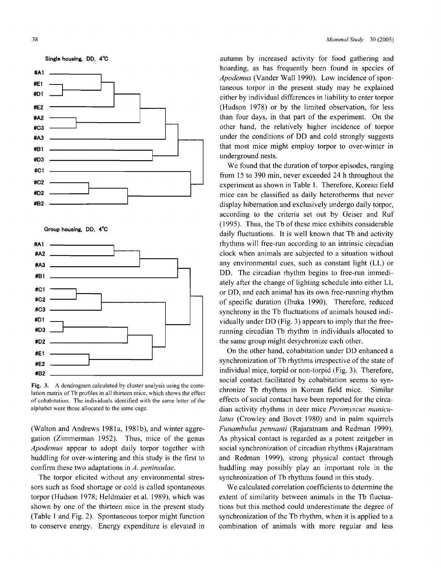

Fig. 3. A dendrogram calculated by cluster analysis using the correlation matrix of Tb profiles in all thirteen mice, which shows the effect of cohabitation. The individuals identified with the same letter of the alphabet were those allocated to the same cage.

(Walton and Andrews 1981a, 198Ib), and winter aggregation (Zimmerman 1952). Thus, mice of the genus *Apodemus* appear to adopt daily torpor together with huddling for over-wintering and this study is the first to confirm these two adaptations in *A. peninsulae.*

The torpor elicited without any environmental stressors such as food shortage or cold is called spontaneous torpor (Hudson 1978; Heldmaier et al. 1989), which was shown by one of the thirteen mice in the present study (Table I and Fig. 2). Spontaneous torpor might function to conserve energy. Energy expenditure is elevated in

autumn by increased activity for food gathering and hoarding, as has frequently been found in species of *Apodemus* (Vander Wall 1990). Low incidence of spontaneous torpor in the present study may be explained either by individual differences in liability to enter torpor (Hudson 1978) or by the limited observation, for less than four days, in that part of the experiment. On the other hand, the relatively higher incidence of torpor under the conditions of DD and cold strongly suggests that most mice might employ torpor to over-winter in underground nests.

We found that the duration of torpor episodes, ranging from 15 to 390 min, never exceeded 24 h throughout the experiment as shown in Table I. Therefore, Korean field mice can be classified as daily heterotherms that never display hibernation and exclusively undergo daily torpor, according to the criteria set out by Geiser and Ruf  $(1995)$ . Thus, the Tb of these mice exhibits considerable daily fluctuations. It is well known that Tb and activity rhythms will free-run according to an intrinsic circadian clock when animals are subjected to a situation without any environmental cues, such as constant light (Ll.) or DD. The circadian rhythm begins to free-run immediately after the change of lighting schedule into either LL or DD, and each animal has its own free-running rhythm of specific duration (Ibuka 1990). Therefore, reduced synchrony in the Tb fluctuations of animals housed individually under DD (Fig. 3) appears to imply that the freerunning circadian Tb rhythm in individuals allocated to the same group might desychronize each other.

On the other hand, cohabitation under DD enhanced a synchronization of Tb rhythms irrespective of the state of individual mice, torpid or non-torpid (Fig. 3). Therefore, social contact facilitated by cohabitation seems to synchronize Tb rhythms in Korean field mice. Similar effects of social contact have been reported for the circadian activity rhythms in deer mice *Peromyscus maniculatus* (Crowley and Bovet 1980) and in palm squirrels *Funambulus pennanti* (Rajaratnam and Redman 1999). As physical contact is regarded as a potent zeitgeber in social synchronization of circadian rhythms (Rajaratnam and Redman 1999), strong physical contact through huddling may possibly play an important role in the synchronization of Tb rhythms found in this study.

We calculated correlation coefficients to determine the extent of similarity between animals in the Tb fluctuations but this method could underestimate the degree of synchronization of the Tb rhythm, when it is applied to a combination of animals with more regular and less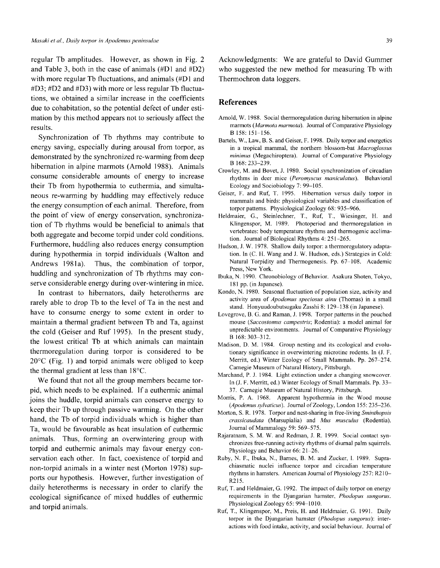regular Tb amplitudes. However, as shown in Fig. 2 and Table 3, both in the case of animals  $(\text{\#D1}$  and  $\text{\#D2})$ with more regular Tb fluctuations, and animals  $(HD1)$  and #03; #02 and #03) with more or less regular Tb fluctuations, we obtained a similar increase in the coefficients due to cohabitation, so the potential defect of under estimation by this method appears not to seriously affect the results.

Synchronization of Tb rhythms may contribute to energy saving, especially during arousal from torpor, as demonstrated by the synchronized re-warming from deep hibernation in alpine marmots (Arnold 1988). Animals consume considerable amounts of energy to increase their Tb from hypothermia to euthermia, and simultaneous re-warming by huddling may effectively reduce the energy consumption of each animal. Therefore, from the point of view of energy conservation, synchronization of Tb rhythms would be beneficial to animals that both aggregate and become torpid under cold conditions. Furthermore, huddling also reduces energy consumption during hypothermia in torpid individuals (Walton and Andrews 1981a). Thus, the combination of torpor, huddling and synchronization of Tb rhythms may conserve considerable energy during over-wintering in mice.

In contrast to hibernators, daily heterotherms are rarely able to drop Tb to the level of Ta in the nest and have to consume energy to some extent in order to maintain a thermal gradient between Tb and Ta, against the cold (Geiser and Ruf 1995). In the present study, the lowest critical Tb at which animals can maintain thermoregulation during torpor is considered to be  $20^{\circ}$ C (Fig. 1) and torpid animals were obliged to keep the thermal gradient at less than 18°C.

We found that not all the group members became torpid, which needs to be explained. If a euthermic animal joins the huddle, torpid animals can conserve energy to keep their Tb up through passive warming. On the other hand, the Tb of torpid individuals which is higher than Ta, would be favourable as heat insulation of euthermic animals. Thus, forming an overwintering group with torpid and euthermic animals may favour energy conservation each other. In fact, coexistence of torpid and non-torpid animals in a winter nest (Morton 1978) supports our hypothesis. However, further investigation of daily heterotherms is necessary in order to clarify the ecological significance of mixed huddles of euthermic and torpid animals.

Acknowledgments: We are grateful to David Gummer who suggested the new method for measuring Tb with Thermochron data loggers.

## **References**

- Arnold, W. 1988. Social thermoregulation during hibernation in alpine marmots (Marmota marmota). Journal of Comparative Physiology B 158: 151-156.
- Bartels, W., Law, B. S. and Geiser, F. 1998. Daily torpor and energetics in a tropical mammal, the northern blossom-bat *Macroglossus minimus* (Megachiroptera). Journal of Comparative Physiology B 168: 233-239.
- Crowley, M. and Bovet, J. 1980. Social synchronization of circadian rhythms in deer mice *(Peromyscus maniculatus).* Behavioral Ecology and Sociobiology 7: 99-105.
- Geiser, F. and Ruf, T. 1995. Hibernation versus daily torpor in mammals and birds: physiological variables and classification of torpor patterns. Physiological Zoology 68: 935-966.
- Heldmaier, G., Steinlechner, T., Ruf, T., Wiesinger, H. and Klingenspor, M. 1989. Photoperiod and thermoregulation in vertebrates: body temperature rhythms and thermogenic acclimation. Journal of Biological Rhythms 4: 251-265.
- Hudson, J. W. 1978. Shallow daily torpor: a thermoregulatory adaptation. In (C. H. Wang and J. W. Hudson, eds.) Strategies in Cold: Natural Torpidity and Thermogenesis, Pp. 67-108. Academic Press, New York.
- Ibuka, N. 1990. Chronobiology of Behavior. Asakura Shoten, Tokyo, 181 pp. (in Japanese).
- Kondo, N. 1980. Seasonal fluctuation of population size, activity and activity area of *Apodemus speciosus ainu* (Thomas) in a small stand. Honyuudoubutsugaku Zasshi 8: 129-138 (in Japanese).
- Lovegrove, B. G. and Raman, J. 1998. Torpor patterns in the pouched mouse *(Saccostomus campestris;* Rodentia): a model animal for unpredictable environments. Journal of Comparative Physiology B 168: 303-312.
- Madison, D. M. 1984. Group nesting and its ecological and evolutionary significance in overwintering microtine rodents. In (J. F. Merritt, ed.) Winter Ecology of Small Mammals. Pp. 267-274. Carnegie Museum of Natural History, Pittsburgh.
- Marchand, P. J. 1984. Light extinction under a changing snowcover. In (J. F. Merritt, ed.) Winter Ecology of Small Mammals. Pp. 33- 37. Carnegie Museum of Natural History, Pittsburgh.
- Morris, P. A. 1968. Apparent hypothermia in the Wood mouse (Apodemus sylvaticus). Journal of Zoology, London 155: 235-236.
- Morton, S. R. 1978. Torpor and nest-sharing in free-living *Sminthopsis crassicaudata* (Marsupialia) and *Mus musculus* (Rodentia). Journal of Mammalogy 59: 569-575.
- Rajaratnam, S. M. W. and Redman, J. R. 1999. Social contact synchronizes free-running activity rhythms of diurnal palm squirrels. Physiology and Behavior 66: 21-26.
- Ruby, N. F., Ibuka, N., Barnes, B. M. and Zucker, I. 1989. Suprachiasmatic nuclei influence torpor and circadian temperature rhythms in hamsters. American Journal of Physiology 257: R210- R215.
- Ruf, T. and Heldmaier, G. 1992. The impact of daily torpor on energy requirements in the Djungarian hamster, *Phodopus sungorus.* Physiological Zoology 65: 994-1010.
- Ruf, T., Klingenspor, M., Preis, H. and Heldmaier, G. 1991. Daily torpor in the Djungarian hamster *(Phodopus sungorus):* interactions with food intake, activity, and social behaviour. Journal of